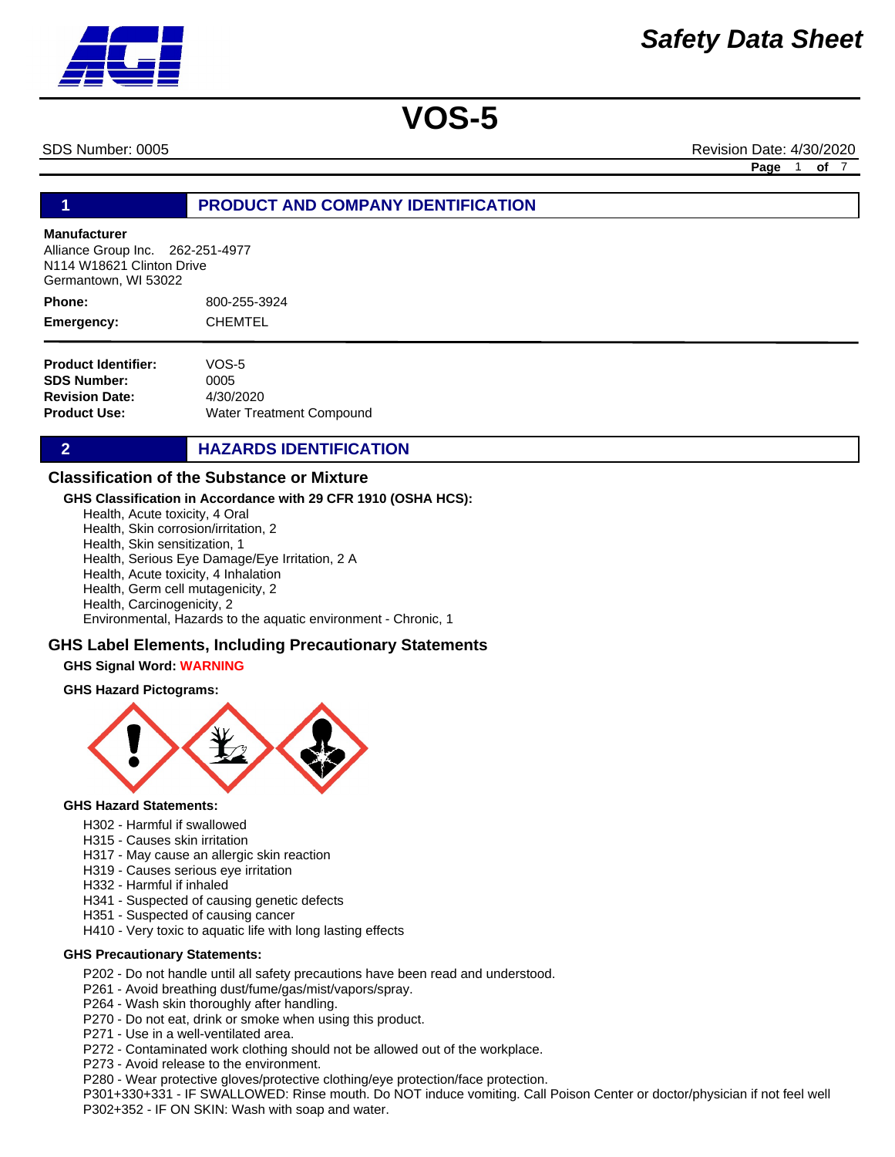SDS Number: 0005 Revision Date: 4/30/2020 **Page** 1 **of** 7

# **1 PRODUCT AND COMPANY IDENTIFICATION**

#### **Manufacturer**

Alliance Group Inc. 262-251-4977 N114 W18621 Clinton Drive Germantown, WI 53022

800-255-3924 CHEMTEL **Phone: Emergency:**

| VOS-5                    |
|--------------------------|
| 0005                     |
| 4/30/2020                |
| Water Treatment Compound |
|                          |

# **2 HAZARDS IDENTIFICATION**

# **Classification of the Substance or Mixture**

#### **GHS Classification in Accordance with 29 CFR 1910 (OSHA HCS):**

Health, Acute toxicity, 4 Oral Health, Skin corrosion/irritation, 2 Health, Skin sensitization, 1 Health, Serious Eye Damage/Eye Irritation, 2 A Health, Acute toxicity, 4 Inhalation Health, Germ cell mutagenicity, 2 Health, Carcinogenicity, 2

Environmental, Hazards to the aquatic environment - Chronic, 1

### **GHS Label Elements, Including Precautionary Statements**

### **GHS Signal Word: WARNING**

#### **GHS Hazard Pictograms:**



#### **GHS Hazard Statements:**

- H302 Harmful if swallowed
- H315 Causes skin irritation
- H317 May cause an allergic skin reaction
- H319 Causes serious eye irritation
- H332 Harmful if inhaled
- H341 Suspected of causing genetic defects
- H351 Suspected of causing cancer
- H410 Very toxic to aquatic life with long lasting effects

#### **GHS Precautionary Statements:**

- P202 Do not handle until all safety precautions have been read and understood.
- P261 Avoid breathing dust/fume/gas/mist/vapors/spray.
- P264 Wash skin thoroughly after handling.
- P270 Do not eat, drink or smoke when using this product.
- P271 Use in a well-ventilated area.
- P272 Contaminated work clothing should not be allowed out of the workplace.
- P273 Avoid release to the environment.
- P280 Wear protective gloves/protective clothing/eye protection/face protection.

P301+330+331 - IF SWALLOWED: Rinse mouth. Do NOT induce vomiting. Call Poison Center or doctor/physician if not feel well P302+352 - IF ON SKIN: Wash with soap and water.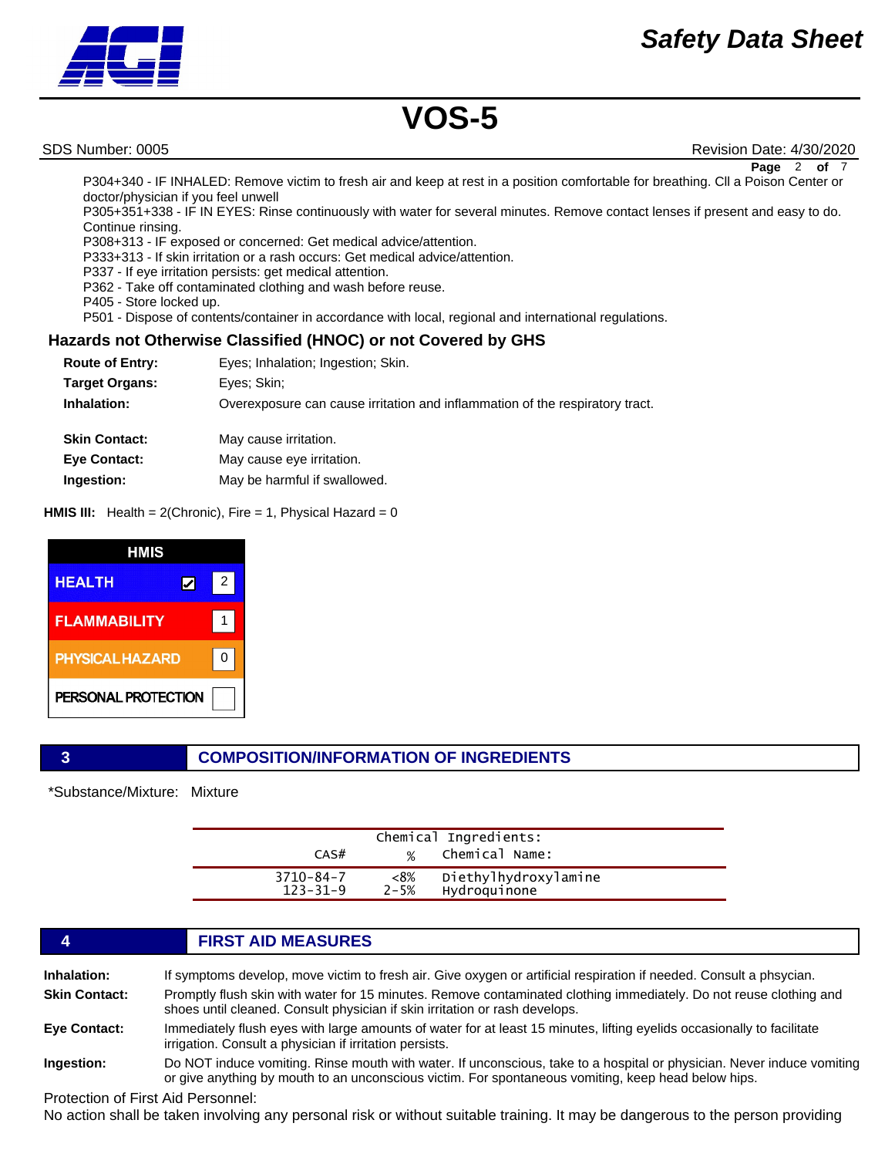

SDS Number: 0005 Revision Date: 4/30/2020 **Page** 2 **of** 7

P304+340 - IF INHALED: Remove victim to fresh air and keep at rest in a position comfortable for breathing. Cll a Poison Center or doctor/physician if you feel unwell

P305+351+338 - IF IN EYES: Rinse continuously with water for several minutes. Remove contact lenses if present and easy to do. Continue rinsing.

P308+313 - IF exposed or concerned: Get medical advice/attention.

P333+313 - If skin irritation or a rash occurs: Get medical advice/attention.

P337 - If eye irritation persists: get medical attention.

P362 - Take off contaminated clothing and wash before reuse.

P405 - Store locked up.

P501 - Dispose of contents/container in accordance with local, regional and international regulations.

# **Hazards not Otherwise Classified (HNOC) or not Covered by GHS**

| <b>Route of Entry:</b> | Eyes; Inhalation; Ingestion; Skin.                                           |
|------------------------|------------------------------------------------------------------------------|
| <b>Target Organs:</b>  | Eyes; Skin;                                                                  |
| Inhalation:            | Overexposure can cause irritation and inflammation of the respiratory tract. |
| <b>Skin Contact:</b>   | May cause irritation.                                                        |
| <b>Eye Contact:</b>    | May cause eye irritation.                                                    |
| Ingestion:             | May be harmful if swallowed.                                                 |

**HMIS III:** Health = 2(Chronic), Fire = 1, Physical Hazard = 0

| HMIS                   |   |
|------------------------|---|
| <b>HEALTH</b>          | 2 |
| <b>FLAMMABILITY</b>    |   |
| <b>PHYSICAL HAZARD</b> | ŋ |
| PERSONAL PROTECTION    |   |

# **3 COMPOSITION/INFORMATION OF INGREDIENTS**

\*Substance/Mixture: Mixture

| CAS#                              | $\frac{1}{2}$   | Chemical Ingredients:<br>Chemical Name: |  |
|-----------------------------------|-----------------|-----------------------------------------|--|
| $3710 - 84 - 7$<br>$123 - 31 - 9$ | <8%<br>$2 - 5%$ | Diethylhydroxylamine<br>Hydroquinone    |  |

# **4 FIRST AID MEASURES**

| Inhalation:          | If symptoms develop, move victim to fresh air. Give oxygen or artificial respiration if needed. Consult a phsycian.                                                                                                           |
|----------------------|-------------------------------------------------------------------------------------------------------------------------------------------------------------------------------------------------------------------------------|
| <b>Skin Contact:</b> | Promptly flush skin with water for 15 minutes. Remove contaminated clothing immediately. Do not reuse clothing and<br>shoes until cleaned. Consult physician if skin irritation or rash develops.                             |
| Eye Contact:         | Immediately flush eyes with large amounts of water for at least 15 minutes, lifting eyelids occasionally to facilitate<br>irrigation. Consult a physician if irritation persists.                                             |
| Ingestion:           | Do NOT induce vomiting. Rinse mouth with water. If unconscious, take to a hospital or physician. Never induce vomiting<br>or give anything by mouth to an unconscious victim. For spontaneous vomiting, keep head below hips. |

Protection of First Aid Personnel:

No action shall be taken involving any personal risk or without suitable training. It may be dangerous to the person providing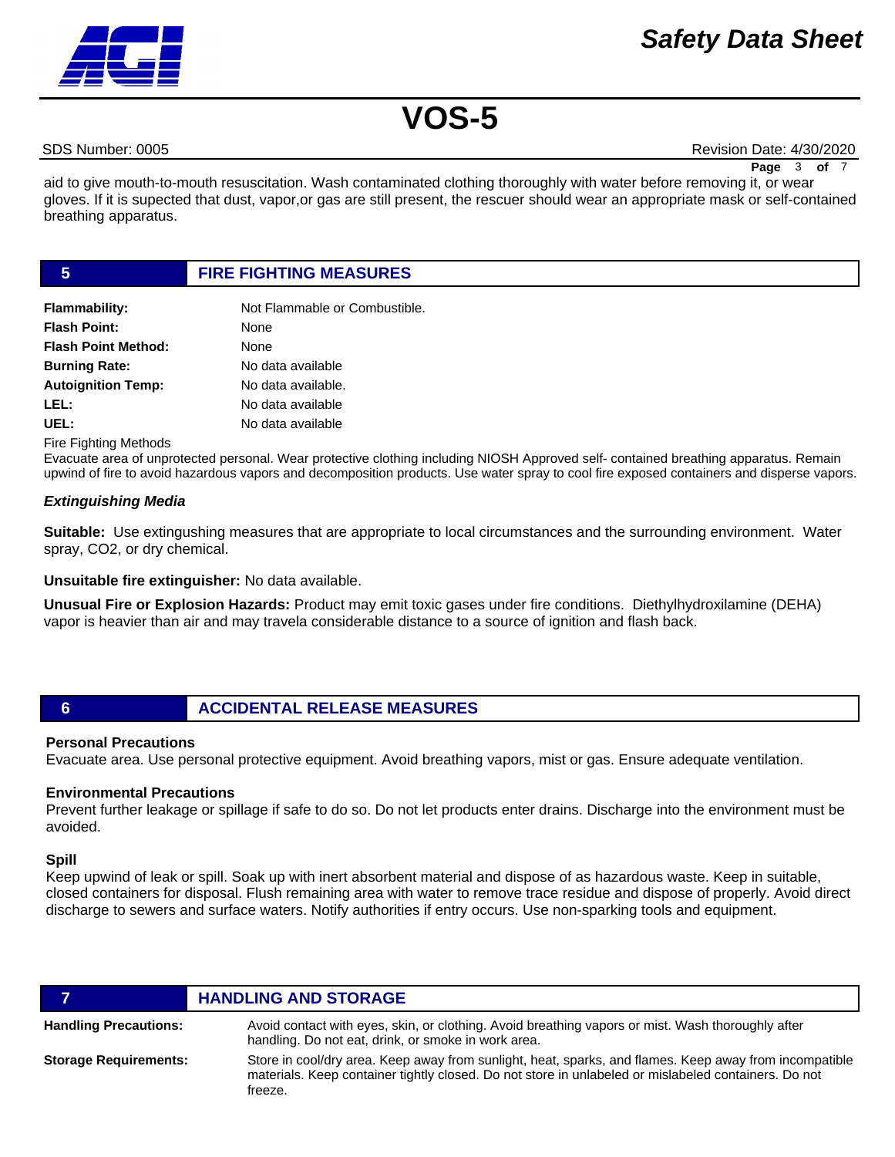

SDS Number: 0005 Revision Date: 4/30/2020

**Page** 3 of

aid to give mouth-to-mouth resuscitation. Wash contaminated clothing thoroughly with water before removing it, or wear gloves. If it is supected that dust, vapor,or gas are still present, the rescuer should wear an appropriate mask or self-contained breathing apparatus.

### **5 FIRE FIGHTING MEASURES**

| <b>Flammability:</b>       | Not Flammable or Combustible. |
|----------------------------|-------------------------------|
| <b>Flash Point:</b>        | None                          |
| <b>Flash Point Method:</b> | None                          |
| <b>Burning Rate:</b>       | No data available             |
| <b>Autoignition Temp:</b>  | No data available.            |
| LEL:                       | No data available             |
| UEL:                       | No data available             |

Fire Fighting Methods

Evacuate area of unprotected personal. Wear protective clothing including NIOSH Approved self- contained breathing apparatus. Remain upwind of fire to avoid hazardous vapors and decomposition products. Use water spray to cool fire exposed containers and disperse vapors.

### *Extinguishing Media*

**Suitable:** Use extingushing measures that are appropriate to local circumstances and the surrounding environment. Water spray, CO2, or dry chemical.

**Unsuitable fire extinguisher:** No data available.

**Unusual Fire or Explosion Hazards:** Product may emit toxic gases under fire conditions. Diethylhydroxilamine (DEHA) vapor is heavier than air and may travela considerable distance to a source of ignition and flash back.

# **6 ACCIDENTAL RELEASE MEASURES**

### **Personal Precautions**

Evacuate area. Use personal protective equipment. Avoid breathing vapors, mist or gas. Ensure adequate ventilation.

#### **Environmental Precautions**

Prevent further leakage or spillage if safe to do so. Do not let products enter drains. Discharge into the environment must be avoided.

#### **Spill**

Keep upwind of leak or spill. Soak up with inert absorbent material and dispose of as hazardous waste. Keep in suitable, closed containers for disposal. Flush remaining area with water to remove trace residue and dispose of properly. Avoid direct discharge to sewers and surface waters. Notify authorities if entry occurs. Use non-sparking tools and equipment.

|                              | <b>HANDLING AND STORAGE</b>                                                                                                                                                                                               |
|------------------------------|---------------------------------------------------------------------------------------------------------------------------------------------------------------------------------------------------------------------------|
| <b>Handling Precautions:</b> | Avoid contact with eyes, skin, or clothing. Avoid breathing vapors or mist. Wash thoroughly after<br>handling. Do not eat, drink, or smoke in work area.                                                                  |
| <b>Storage Requirements:</b> | Store in cool/dry area. Keep away from sunlight, heat, sparks, and flames. Keep away from incompatible<br>materials. Keep container tightly closed. Do not store in unlabeled or mislabeled containers. Do not<br>freeze. |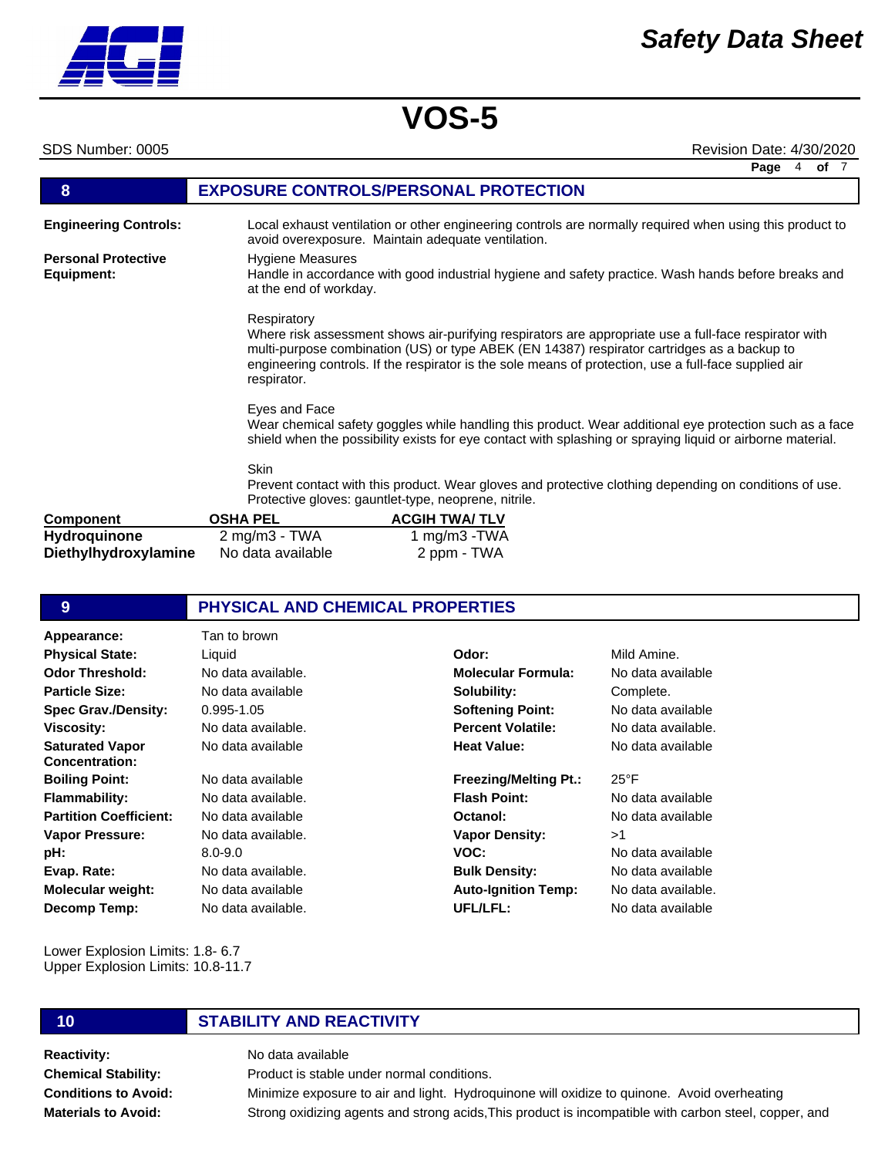### SDS Number: 0005 Revision Date: 4/30/2020

|                                          |                                                   | Page<br>of $7$<br>4                                                                                                                                                                                                                                                                                           |
|------------------------------------------|---------------------------------------------------|---------------------------------------------------------------------------------------------------------------------------------------------------------------------------------------------------------------------------------------------------------------------------------------------------------------|
| 8                                        |                                                   | <b>EXPOSURE CONTROLS/PERSONAL PROTECTION</b>                                                                                                                                                                                                                                                                  |
| <b>Engineering Controls:</b>             |                                                   | Local exhaust ventilation or other engineering controls are normally required when using this product to<br>avoid overexposure. Maintain adequate ventilation.                                                                                                                                                |
| <b>Personal Protective</b><br>Equipment: | <b>Hygiene Measures</b><br>at the end of workday. | Handle in accordance with good industrial hygiene and safety practice. Wash hands before breaks and                                                                                                                                                                                                           |
|                                          | Respiratory<br>respirator.                        | Where risk assessment shows air-purifying respirators are appropriate use a full-face respirator with<br>multi-purpose combination (US) or type ABEK (EN 14387) respirator cartridges as a backup to<br>engineering controls. If the respirator is the sole means of protection, use a full-face supplied air |
|                                          | Eyes and Face                                     | Wear chemical safety goggles while handling this product. Wear additional eye protection such as a face<br>shield when the possibility exists for eye contact with splashing or spraying liquid or airborne material.                                                                                         |
|                                          | <b>Skin</b>                                       | Prevent contact with this product. Wear gloves and protective clothing depending on conditions of use.<br>Protective gloves: gauntlet-type, neoprene, nitrile.                                                                                                                                                |
| <b>Component</b>                         | <b>OSHA PEL</b>                                   | <b>ACGIH TWA/TLV</b>                                                                                                                                                                                                                                                                                          |
| Hydroguinone                             | 2 $ma/m3$ - TWA                                   | 1 $ma/m3$ -TWA                                                                                                                                                                                                                                                                                                |

| <b>Component</b>     | <b>OSHA PEL</b>         | <b>ACGIH TWA/ TLV</b> |
|----------------------|-------------------------|-----------------------|
| <b>Hydroquinone</b>  | $2 \text{ mg/m3}$ - TWA | 1 mg/m $3$ -TWA       |
| Diethylhydroxylamine | No data available       | 2 ppm - TWA           |

# **9 PHYSICAL AND CHEMICAL PROPERTIES**

| Appearance:                              | Tan to brown       |                              |                    |
|------------------------------------------|--------------------|------------------------------|--------------------|
| <b>Physical State:</b>                   | Liquid             | Odor:                        | Mild Amine.        |
| <b>Odor Threshold:</b>                   | No data available. | <b>Molecular Formula:</b>    | No data available  |
| <b>Particle Size:</b>                    | No data available  | Solubility:                  | Complete.          |
| <b>Spec Grav./Density:</b>               | $0.995 - 1.05$     | <b>Softening Point:</b>      | No data available  |
| <b>Viscosity:</b>                        | No data available. | <b>Percent Volatile:</b>     | No data available. |
| <b>Saturated Vapor</b><br>Concentration: | No data available  | <b>Heat Value:</b>           | No data available  |
| <b>Boiling Point:</b>                    | No data available  | <b>Freezing/Melting Pt.:</b> | $25^{\circ}$ F     |
| <b>Flammability:</b>                     | No data available. | <b>Flash Point:</b>          | No data available  |
| <b>Partition Coefficient:</b>            | No data available  | Octanol:                     | No data available  |
| <b>Vapor Pressure:</b>                   | No data available. | <b>Vapor Density:</b>        | >1                 |
| pH:                                      | $8.0 - 9.0$        | VOC:                         | No data available  |
| Evap. Rate:                              | No data available. | <b>Bulk Density:</b>         | No data available  |
| <b>Molecular weight:</b>                 | No data available  | <b>Auto-Ignition Temp:</b>   | No data available. |
| Decomp Temp:                             | No data available. | UFL/LFL:                     | No data available  |

Lower Explosion Limits: 1.8- 6.7 Upper Explosion Limits: 10.8-11.7

# **10 STABILITY AND REACTIVITY**

**Reactivity:** No data available **Chemical Stability: Conditions to Avoid: Materials to Avoid:**

Product is stable under normal conditions. Minimize exposure to air and light. Hydroquinone will oxidize to quinone. Avoid overheating Strong oxidizing agents and strong acids,This product is incompatible with carbon steel, copper, and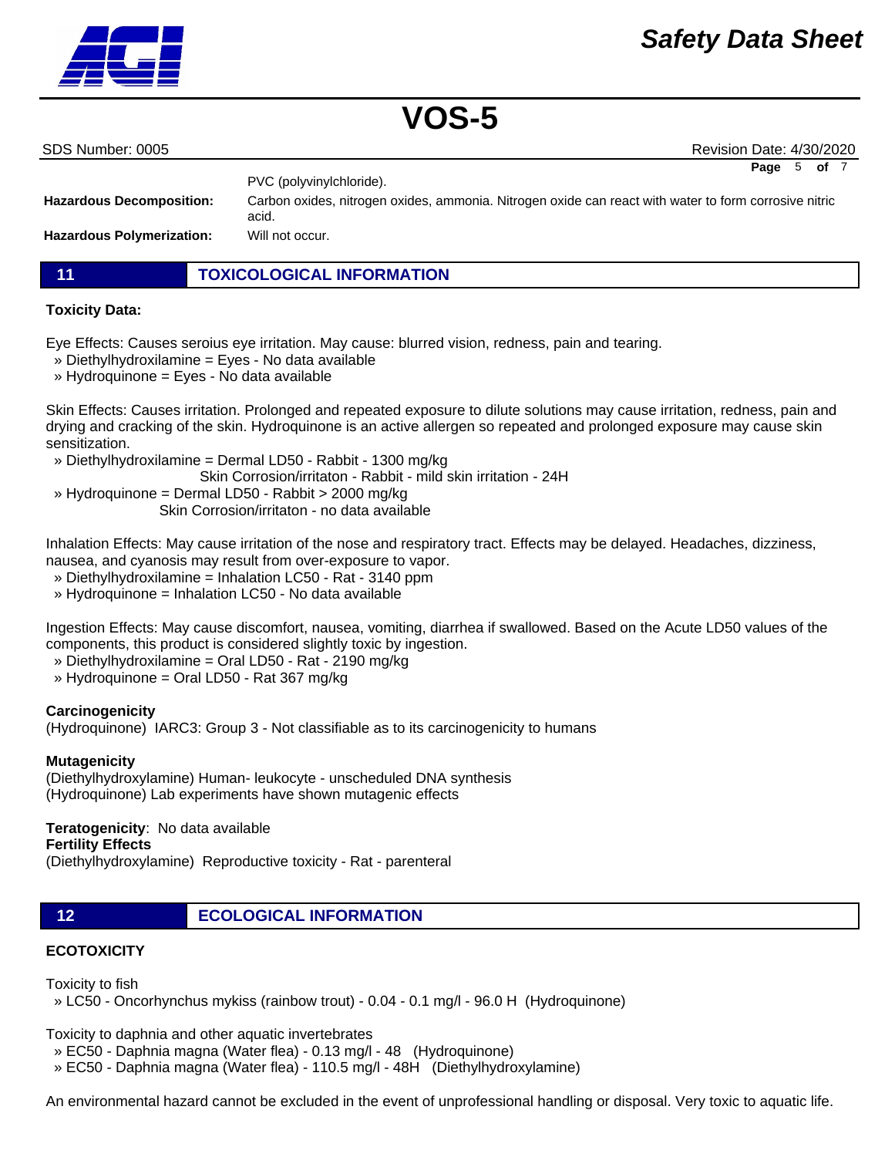

|  | SDS Number: 0005 |
|--|------------------|
|  |                  |
|  |                  |

Revision Date: 4/30/2020

**Page** 5 **of** 7

|                                  | PVC (polyvinylchloride).                                                                                       |
|----------------------------------|----------------------------------------------------------------------------------------------------------------|
| <b>Hazardous Decomposition:</b>  | Carbon oxides, nitrogen oxides, ammonia. Nitrogen oxide can react with water to form corrosive nitric<br>acid. |
| <b>Hazardous Polymerization:</b> | Will not occur.                                                                                                |

**11 TOXICOLOGICAL INFORMATION**

# **Toxicity Data:**

Eye Effects: Causes seroius eye irritation. May cause: blurred vision, redness, pain and tearing.

- » Diethylhydroxilamine = Eyes No data available
- » Hydroquinone = Eyes No data available

Skin Effects: Causes irritation. Prolonged and repeated exposure to dilute solutions may cause irritation, redness, pain and drying and cracking of the skin. Hydroquinone is an active allergen so repeated and prolonged exposure may cause skin sensitization.

- » Diethylhydroxilamine = Dermal LD50 Rabbit 1300 mg/kg
- Skin Corrosion/irritaton Rabbit mild skin irritation 24H
- » Hydroquinone = Dermal LD50 Rabbit > 2000 mg/kg Skin Corrosion/irritaton - no data available

Inhalation Effects: May cause irritation of the nose and respiratory tract. Effects may be delayed. Headaches, dizziness, nausea, and cyanosis may result from over-exposure to vapor.

- » Diethylhydroxilamine = Inhalation LC50 Rat 3140 ppm
- » Hydroquinone = Inhalation LC50 No data available

Ingestion Effects: May cause discomfort, nausea, vomiting, diarrhea if swallowed. Based on the Acute LD50 values of the components, this product is considered slightly toxic by ingestion.

- » Diethylhydroxilamine = Oral LD50 Rat 2190 mg/kg
- » Hydroquinone = Oral LD50 Rat 367 mg/kg

# **Carcinogenicity**

(Hydroquinone) IARC3: Group 3 - Not classifiable as to its carcinogenicity to humans

# **Mutagenicity**

(Diethylhydroxylamine) Human- leukocyte - unscheduled DNA synthesis (Hydroquinone) Lab experiments have shown mutagenic effects

# **Teratogenicity**: No data available

### **Fertility Effects**

(Diethylhydroxylamine) Reproductive toxicity - Rat - parenteral

**12 ECOLOGICAL INFORMATION** 

# **ECOTOXICITY**

Toxicity to fish

» LC50 - Oncorhynchus mykiss (rainbow trout) - 0.04 - 0.1 mg/l - 96.0 H (Hydroquinone)

Toxicity to daphnia and other aquatic invertebrates

- » EC50 Daphnia magna (Water flea) 0.13 mg/l 48 (Hydroquinone)
- » EC50 Daphnia magna (Water flea) 110.5 mg/l 48H (Diethylhydroxylamine)

An environmental hazard cannot be excluded in the event of unprofessional handling or disposal. Very toxic to aquatic life.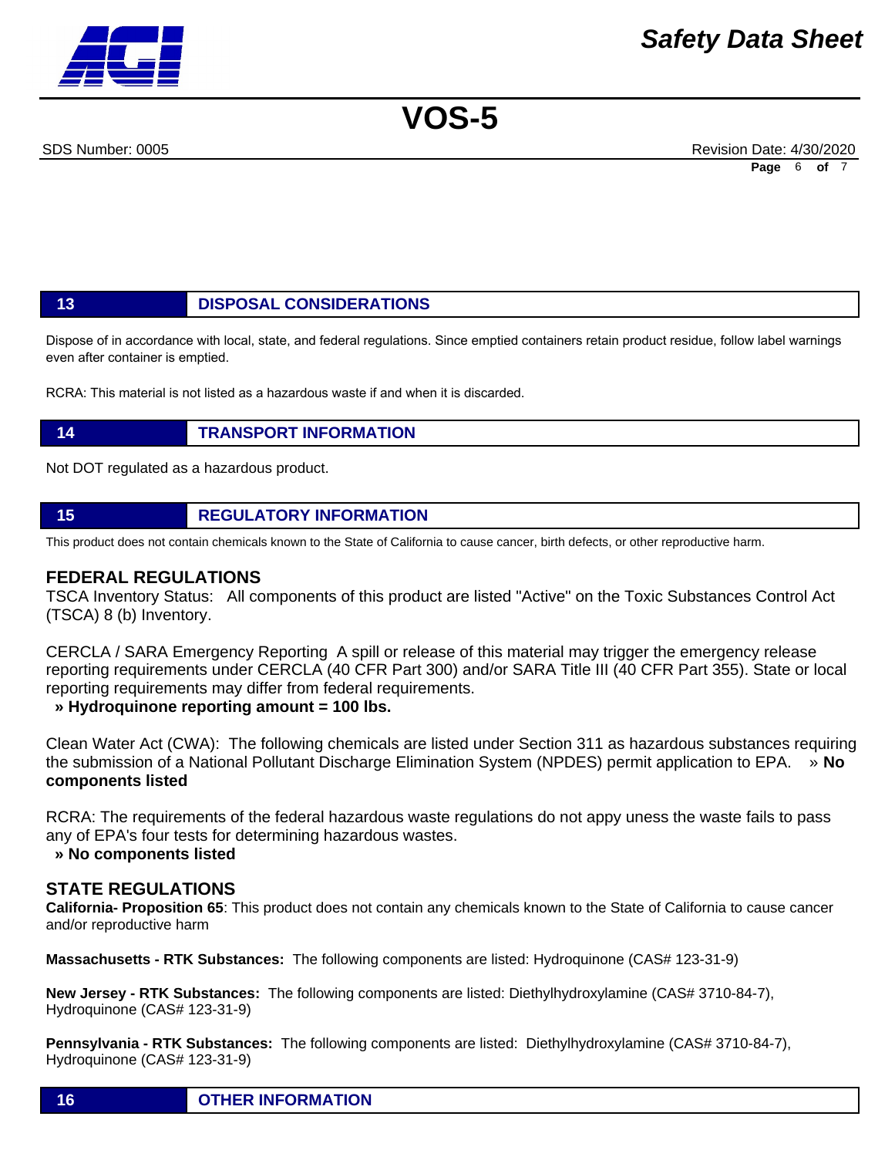SDS Number: 0005 Revision Date: 4/30/2020 **Page** 6 **of** 7

# **13 DISPOSAL CONSIDERATIONS**

Dispose of in accordance with local, state, and federal regulations. Since emptied containers retain product residue, follow label warnings even after container is emptied.

RCRA: This material is not listed as a hazardous waste if and when it is discarded.

# **14 TRANSPORT INFORMATION**

Not DOT regulated as a hazardous product.

# **15 REGULATORY INFORMATION**

This product does not contain chemicals known to the State of California to cause cancer, birth defects, or other reproductive harm.

## **FEDERAL REGULATIONS**

TSCA Inventory Status: All components of this product are listed "Active" on the Toxic Substances Control Act (TSCA) 8 (b) Inventory.

CERCLA / SARA Emergency Reporting A spill or release of this material may trigger the emergency release reporting requirements under CERCLA (40 CFR Part 300) and/or SARA Title III (40 CFR Part 355). State or local reporting requirements may differ from federal requirements.

 **» Hydroquinone reporting amount = 100 lbs.**

Clean Water Act (CWA): The following chemicals are listed under Section 311 as hazardous substances requiring the submission of a National Pollutant Discharge Elimination System (NPDES) permit application to EPA. » **No components listed**

RCRA: The requirements of the federal hazardous waste regulations do not appy uness the waste fails to pass any of EPA's four tests for determining hazardous wastes.

### **» No components listed**

# **STATE REGULATIONS**

**California- Proposition 65**: This product does not contain any chemicals known to the State of California to cause cancer and/or reproductive harm

**Massachusetts - RTK Substances:** The following components are listed: Hydroquinone (CAS# 123-31-9)

**New Jersey - RTK Substances:** The following components are listed: Diethylhydroxylamine (CAS# 3710-84-7), Hydroquinone (CAS# 123-31-9)

**Pennsylvania - RTK Substances:** The following components are listed: Diethylhydroxylamine (CAS# 3710-84-7), Hydroquinone (CAS# 123-31-9)